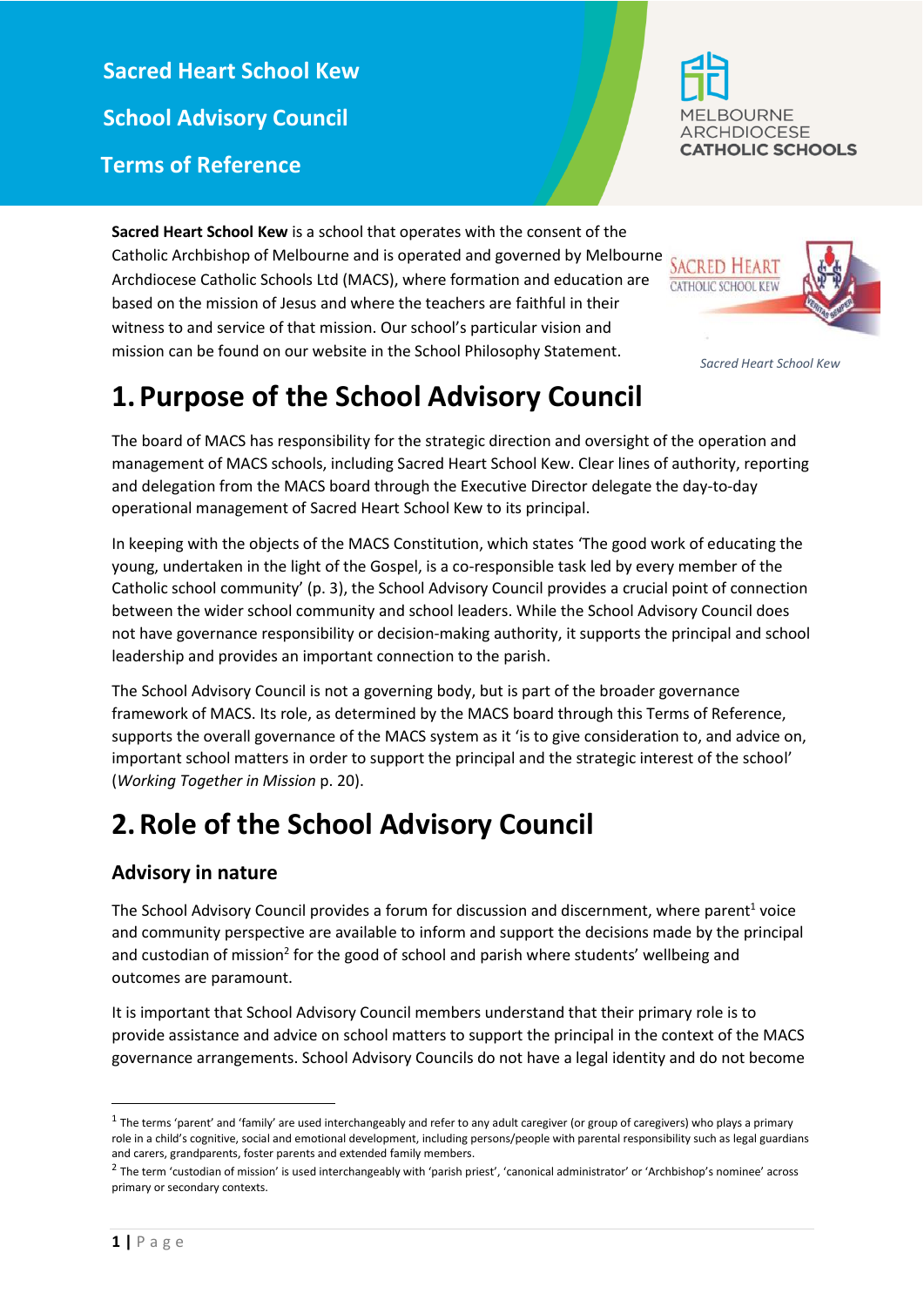**Sacred Heart School Kew School Advisory Council Terms of Reference**



**Sacred Heart School Kew** is a school that operates with the consent of the Catholic Archbishop of Melbourne and is operated and governed by Melbourne Archdiocese Catholic Schools Ltd (MACS), where formation and education are based on the mission of Jesus and where the teachers are faithful in their witness to and service of that mission. Our school's particular vision and mission can be found on our website in the School Philosophy Statement.

# **1.Purpose of the School Advisory Council**

The board of MACS has responsibility for the strategic direction and oversight of the operation and management of MACS schools, including Sacred Heart School Kew. Clear lines of authority, reporting and delegation from the MACS board through the Executive Director delegate the day-to-day operational management of Sacred Heart School Kew to its principal.

In keeping with the objects of the MACS Constitution, which states 'The good work of educating the young, undertaken in the light of the Gospel, is a co-responsible task led by every member of the Catholic school community' (p. 3), the School Advisory Council provides a crucial point of connection between the wider school community and school leaders. While the School Advisory Council does not have governance responsibility or decision-making authority, it supports the principal and school leadership and provides an important connection to the parish.

The School Advisory Council is not a governing body, but is part of the broader governance framework of MACS. Its role, as determined by the MACS board through this Terms of Reference, supports the overall governance of the MACS system as it 'is to give consideration to, and advice on, important school matters in order to support the principal and the strategic interest of the school' (*Working Together in Mission* p. 20).

# **2.Role of the School Advisory Council**

## **Advisory in nature**

The School Advisory Council provides a forum for discussion and discernment, where parent<sup>1</sup> voice and community perspective are available to inform and support the decisions made by the principal and custodian of mission<sup>2</sup> for the good of school and parish where students' wellbeing and outcomes are paramount.

It is important that School Advisory Council members understand that their primary role is to provide assistance and advice on school matters to support the principal in the context of the MACS governance arrangements. School Advisory Councils do not have a legal identity and do not become

1



*Sacred Heart School Kew*

 $^1$  The terms 'parent' and 'family' are used interchangeably and refer to any adult caregiver (or group of caregivers) who plays a primary role in a child's cognitive, social and emotional development, including persons/people with parental responsibility such as legal guardians and carers, grandparents, foster parents and extended family members.

 $^2$  The term 'custodian of mission' is used interchangeably with 'parish priest', 'canonical administrator' or 'Archbishop's nominee' across primary or secondary contexts.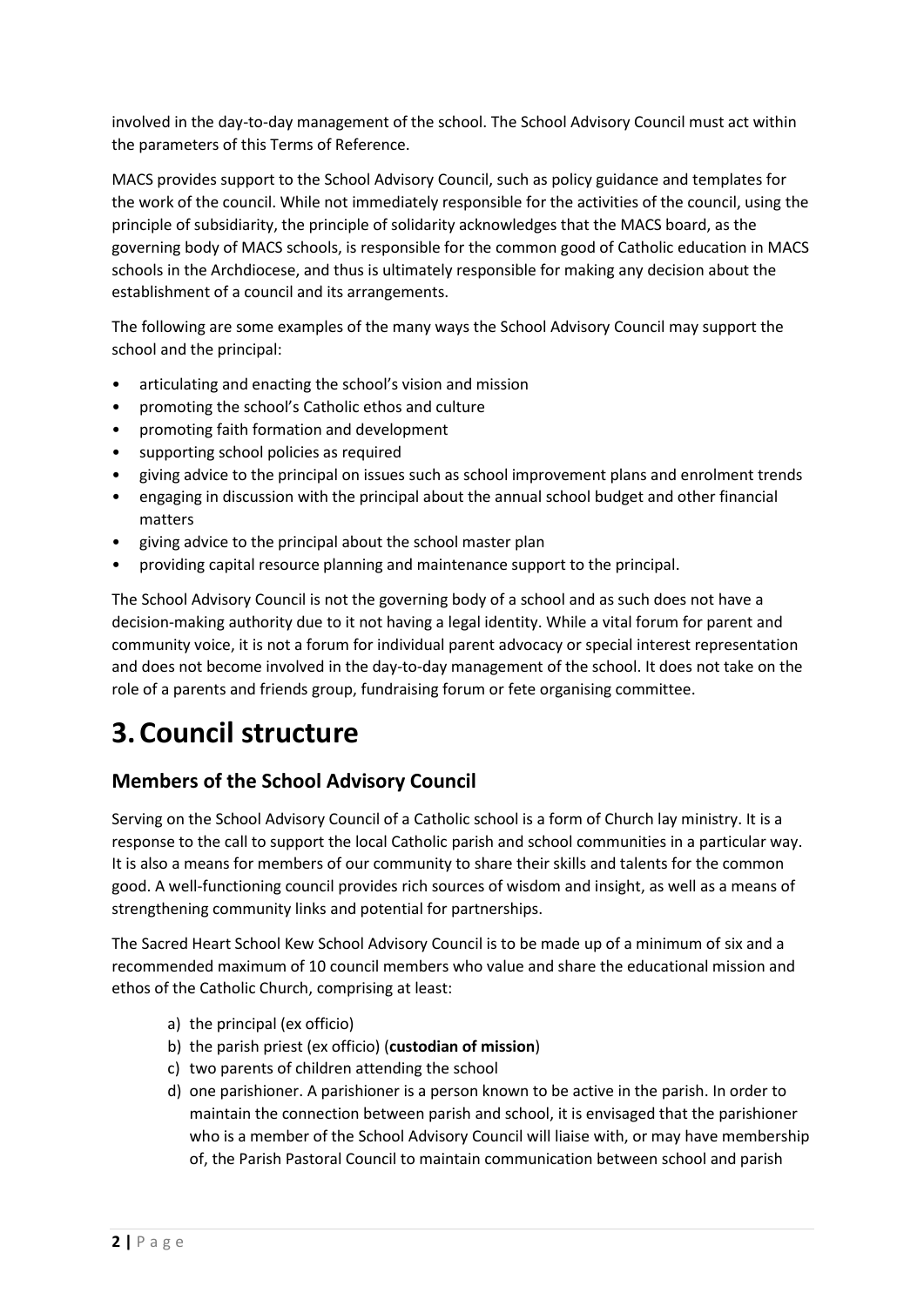involved in the day-to-day management of the school. The School Advisory Council must act within the parameters of this Terms of Reference.

MACS provides support to the School Advisory Council, such as policy guidance and templates for the work of the council. While not immediately responsible for the activities of the council, using the principle of subsidiarity, the principle of solidarity acknowledges that the MACS board, as the governing body of MACS schools, is responsible for the common good of Catholic education in MACS schools in the Archdiocese, and thus is ultimately responsible for making any decision about the establishment of a council and its arrangements.

The following are some examples of the many ways the School Advisory Council may support the school and the principal:

- articulating and enacting the school's vision and mission
- promoting the school's Catholic ethos and culture
- promoting faith formation and development
- supporting school policies as required
- giving advice to the principal on issues such as school improvement plans and enrolment trends
- engaging in discussion with the principal about the annual school budget and other financial matters
- giving advice to the principal about the school master plan
- providing capital resource planning and maintenance support to the principal.

The School Advisory Council is not the governing body of a school and as such does not have a decision-making authority due to it not having a legal identity. While a vital forum for parent and community voice, it is not a forum for individual parent advocacy or special interest representation and does not become involved in the day-to-day management of the school. It does not take on the role of a parents and friends group, fundraising forum or fete organising committee.

# **3.Council structure**

## **Members of the School Advisory Council**

Serving on the School Advisory Council of a Catholic school is a form of Church lay ministry. It is a response to the call to support the local Catholic parish and school communities in a particular way. It is also a means for members of our community to share their skills and talents for the common good. A well-functioning council provides rich sources of wisdom and insight, as well as a means of strengthening community links and potential for partnerships.

The Sacred Heart School Kew School Advisory Council is to be made up of a minimum of six and a recommended maximum of 10 council members who value and share the educational mission and ethos of the Catholic Church, comprising at least:

- a) the principal (ex officio)
- b) the parish priest (ex officio) (**custodian of mission**)
- c) two parents of children attending the school
- d) one parishioner. A parishioner is a person known to be active in the parish. In order to maintain the connection between parish and school, it is envisaged that the parishioner who is a member of the School Advisory Council will liaise with, or may have membership of, the Parish Pastoral Council to maintain communication between school and parish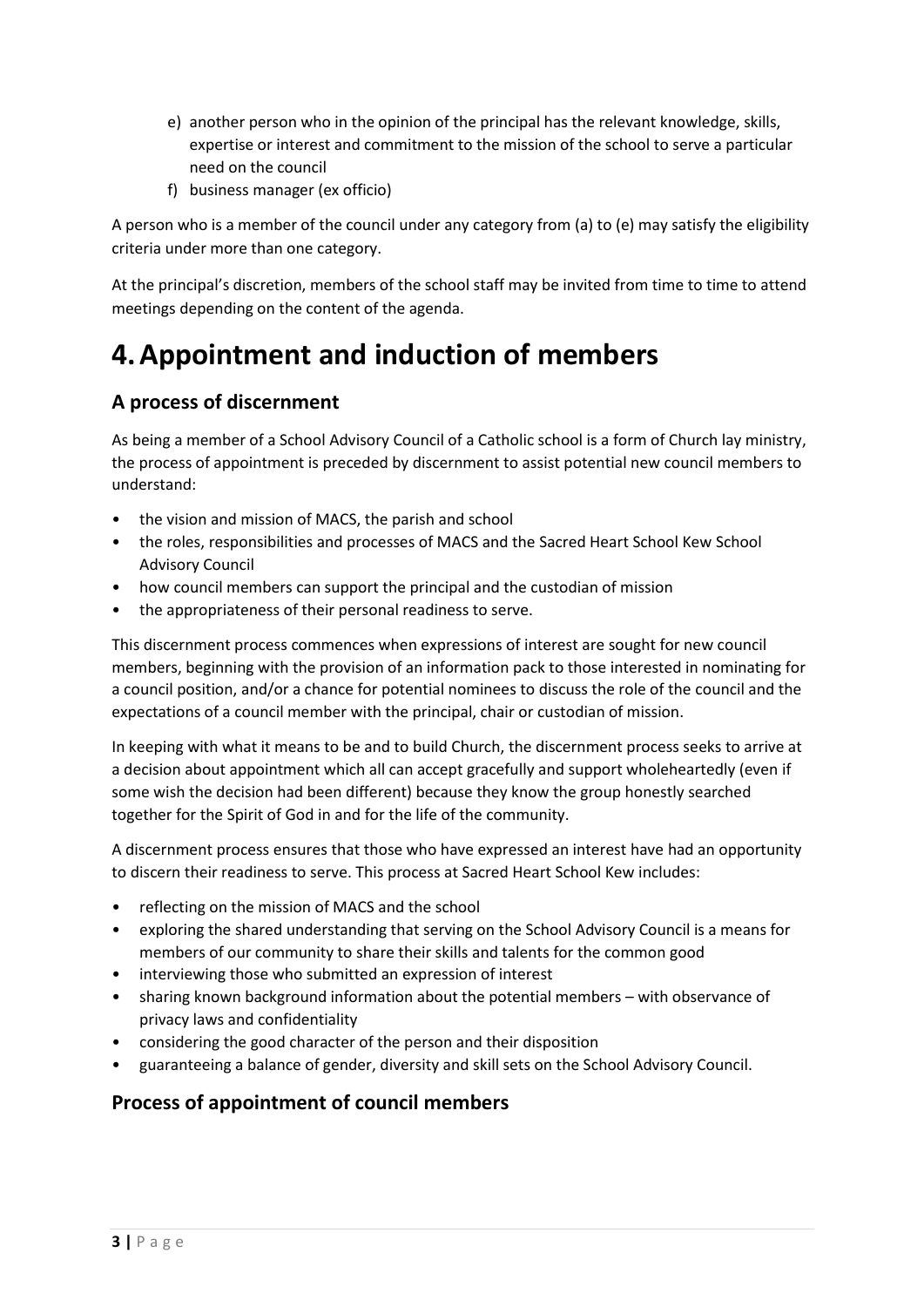- e) another person who in the opinion of the principal has the relevant knowledge, skills, expertise or interest and commitment to the mission of the school to serve a particular need on the council
- f) business manager (ex officio)

A person who is a member of the council under any category from (a) to (e) may satisfy the eligibility criteria under more than one category.

At the principal's discretion, members of the school staff may be invited from time to time to attend meetings depending on the content of the agenda.

# **4.Appointment and induction of members**

## **A process of discernment**

As being a member of a School Advisory Council of a Catholic school is a form of Church lay ministry, the process of appointment is preceded by discernment to assist potential new council members to understand:

- the vision and mission of MACS, the parish and school
- the roles, responsibilities and processes of MACS and the Sacred Heart School Kew School Advisory Council
- how council members can support the principal and the custodian of mission
- the appropriateness of their personal readiness to serve.

This discernment process commences when expressions of interest are sought for new council members, beginning with the provision of an information pack to those interested in nominating for a council position, and/or a chance for potential nominees to discuss the role of the council and the expectations of a council member with the principal, chair or custodian of mission.

In keeping with what it means to be and to build Church, the discernment process seeks to arrive at a decision about appointment which all can accept gracefully and support wholeheartedly (even if some wish the decision had been different) because they know the group honestly searched together for the Spirit of God in and for the life of the community.

A discernment process ensures that those who have expressed an interest have had an opportunity to discern their readiness to serve. This process at Sacred Heart School Kew includes:

- reflecting on the mission of MACS and the school
- exploring the shared understanding that serving on the School Advisory Council is a means for members of our community to share their skills and talents for the common good
- interviewing those who submitted an expression of interest
- sharing known background information about the potential members with observance of privacy laws and confidentiality
- considering the good character of the person and their disposition
- guaranteeing a balance of gender, diversity and skill sets on the School Advisory Council.

## **Process of appointment of council members**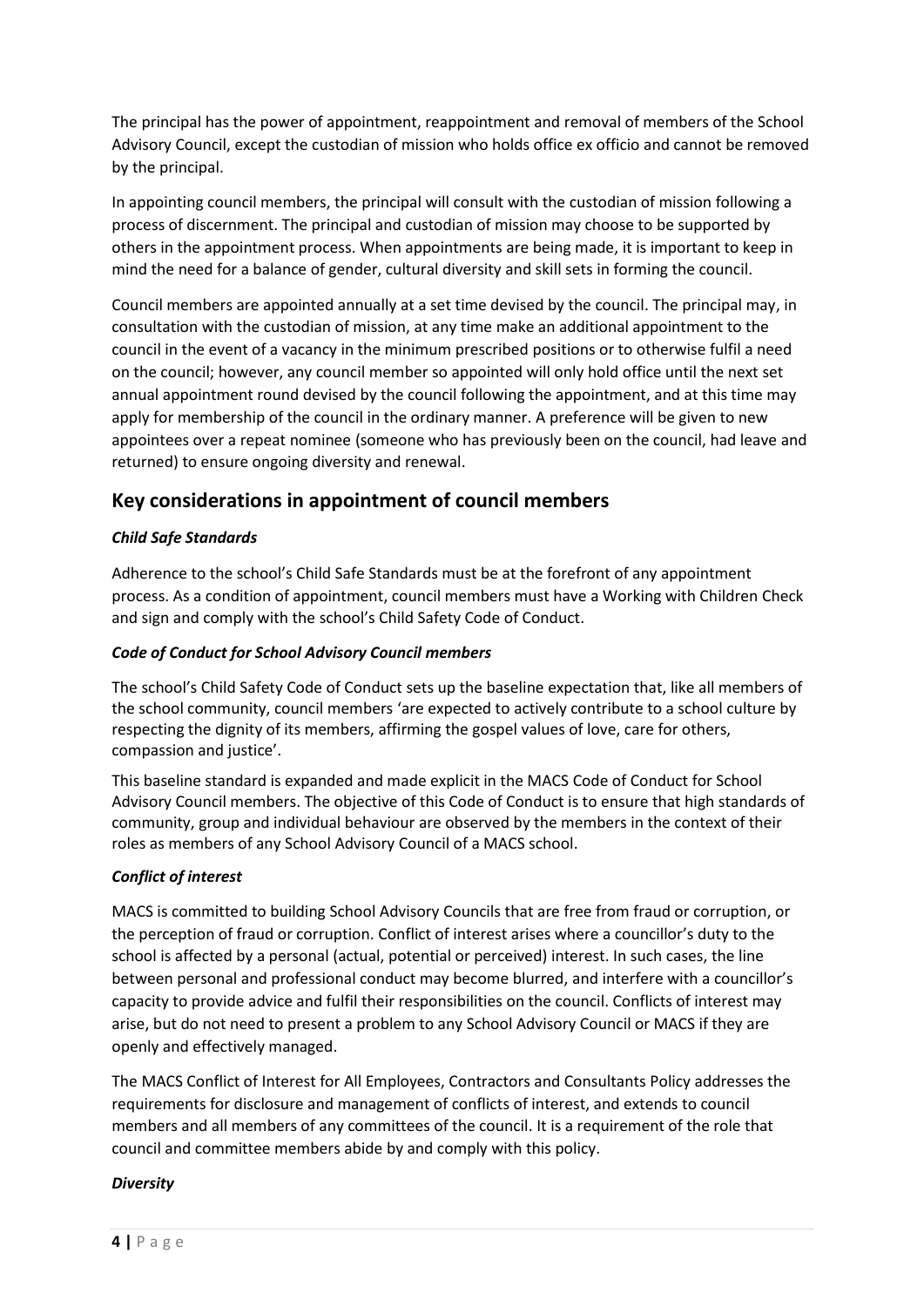The principal has the power of appointment, reappointment and removal of members of the School Advisory Council, except the custodian of mission who holds office ex officio and cannot be removed by the principal.

In appointing council members, the principal will consult with the custodian of mission following a process of discernment. The principal and custodian of mission may choose to be supported by others in the appointment process. When appointments are being made, it is important to keep in mind the need for a balance of gender, cultural diversity and skill sets in forming the council.

Council members are appointed annually at a set time devised by the council. The principal may, in consultation with the custodian of mission, at any time make an additional appointment to the council in the event of a vacancy in the minimum prescribed positions or to otherwise fulfil a need on the council; however, any council member so appointed will only hold office until the next set annual appointment round devised by the council following the appointment, and at this time may apply for membership of the council in the ordinary manner. A preference will be given to new appointees over a repeat nominee (someone who has previously been on the council, had leave and returned) to ensure ongoing diversity and renewal.

### **Key considerations in appointment of council members**

#### *Child Safe Standards*

Adherence to the school's Child Safe Standards must be at the forefront of any appointment process. As a condition of appointment, council members must have a Working with Children Check and sign and comply with the school's Child Safety Code of Conduct.

#### *Code of Conduct for School Advisory Council members*

The school's Child Safety Code of Conduct sets up the baseline expectation that, like all members of the school community, council members 'are expected to actively contribute to a school culture by respecting the dignity of its members, affirming the gospel values of love, care for others, compassion and justice'.

This baseline standard is expanded and made explicit in the MACS Code of Conduct for School Advisory Council members. The objective of this Code of Conduct is to ensure that high standards of community, group and individual behaviour are observed by the members in the context of their roles as members of any School Advisory Council of a MACS school.

#### *Conflict of interest*

MACS is committed to building School Advisory Councils that are free from fraud or corruption, or the perception of fraud or corruption. Conflict of interest arises where a councillor's duty to the school is affected by a personal (actual, potential or perceived) interest. In such cases, the line between personal and professional conduct may become blurred, and interfere with a councillor's capacity to provide advice and fulfil their responsibilities on the council. Conflicts of interest may arise, but do not need to present a problem to any School Advisory Council or MACS if they are openly and effectively managed.

The MACS Conflict of Interest for All Employees, Contractors and Consultants Policy addresses the requirements for disclosure and management of conflicts of interest, and extends to council members and all members of any committees of the council. It is a requirement of the role that council and committee members abide by and comply with this policy.

#### *Diversity*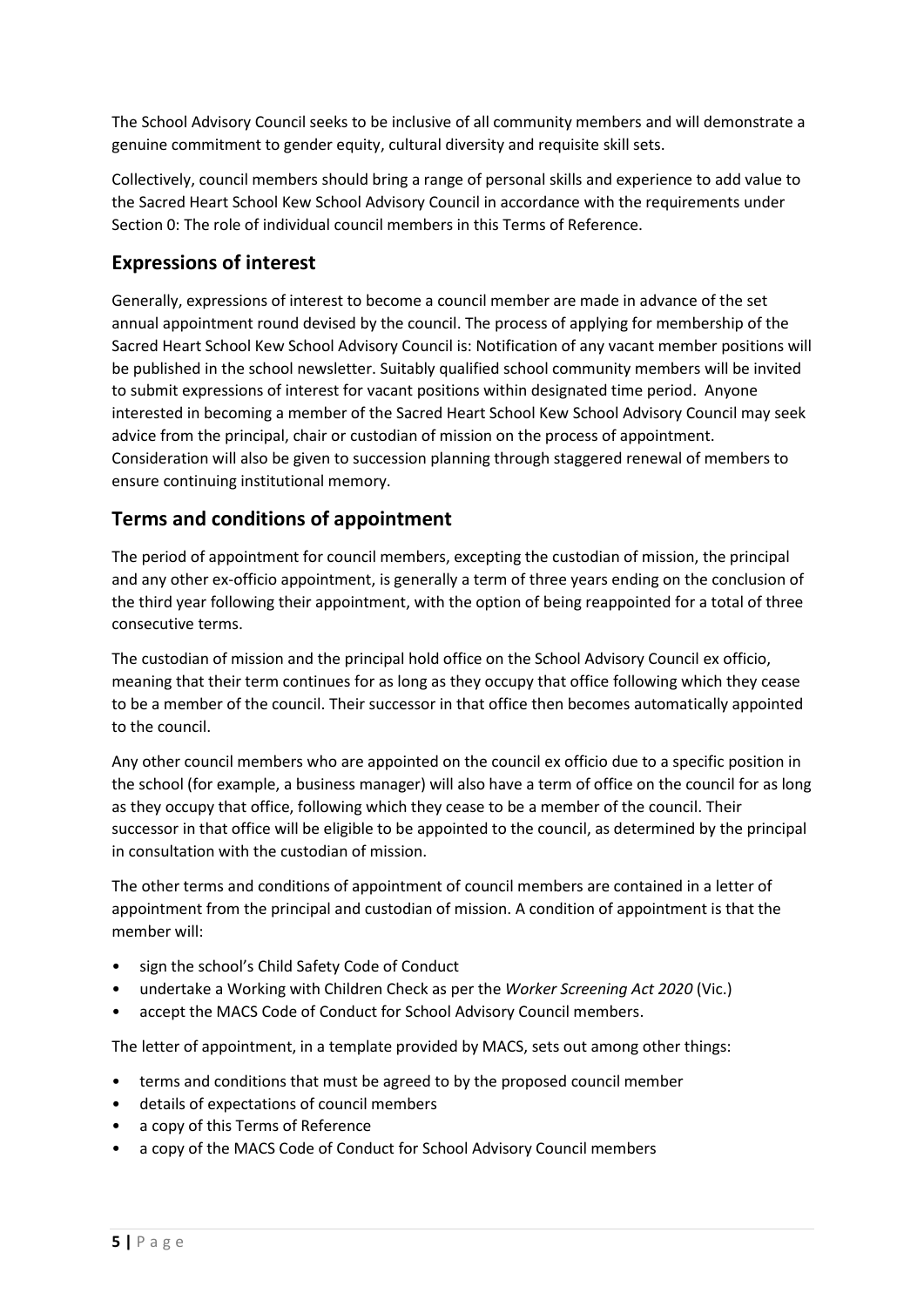The School Advisory Council seeks to be inclusive of all community members and will demonstrate a genuine commitment to gender equity, cultural diversity and requisite skill sets.

Collectively, council members should bring a range of personal skills and experience to add value to the Sacred Heart School Kew School Advisory Council in accordance with the requirements under Section [0:](#page-5-0) The role of individual council members in this Terms of Reference.

## **Expressions of interest**

Generally, expressions of interest to become a council member are made in advance of the set annual appointment round devised by the council. The process of applying for membership of the Sacred Heart School Kew School Advisory Council is: Notification of any vacant member positions will be published in the school newsletter. Suitably qualified school community members will be invited to submit expressions of interest for vacant positions within designated time period. Anyone interested in becoming a member of the Sacred Heart School Kew School Advisory Council may seek advice from the principal, chair or custodian of mission on the process of appointment. Consideration will also be given to succession planning through staggered renewal of members to ensure continuing institutional memory.

## **Terms and conditions of appointment**

The period of appointment for council members, excepting the custodian of mission, the principal and any other ex-officio appointment, is generally a term of three years ending on the conclusion of the third year following their appointment, with the option of being reappointed for a total of three consecutive terms.

The custodian of mission and the principal hold office on the School Advisory Council ex officio, meaning that their term continues for as long as they occupy that office following which they cease to be a member of the council. Their successor in that office then becomes automatically appointed to the council.

Any other council members who are appointed on the council ex officio due to a specific position in the school (for example, a business manager) will also have a term of office on the council for as long as they occupy that office, following which they cease to be a member of the council. Their successor in that office will be eligible to be appointed to the council, as determined by the principal in consultation with the custodian of mission.

The other terms and conditions of appointment of council members are contained in a letter of appointment from the principal and custodian of mission. A condition of appointment is that the member will:

- sign the school's Child Safety Code of Conduct
- undertake a Working with Children Check as per the *Worker Screening Act 2020* (Vic.)
- accept the MACS Code of Conduct for School Advisory Council members.

The letter of appointment, in a template provided by MACS, sets out among other things:

- terms and conditions that must be agreed to by the proposed council member
- details of expectations of council members
- a copy of this Terms of Reference
- a copy of the MACS Code of Conduct for School Advisory Council members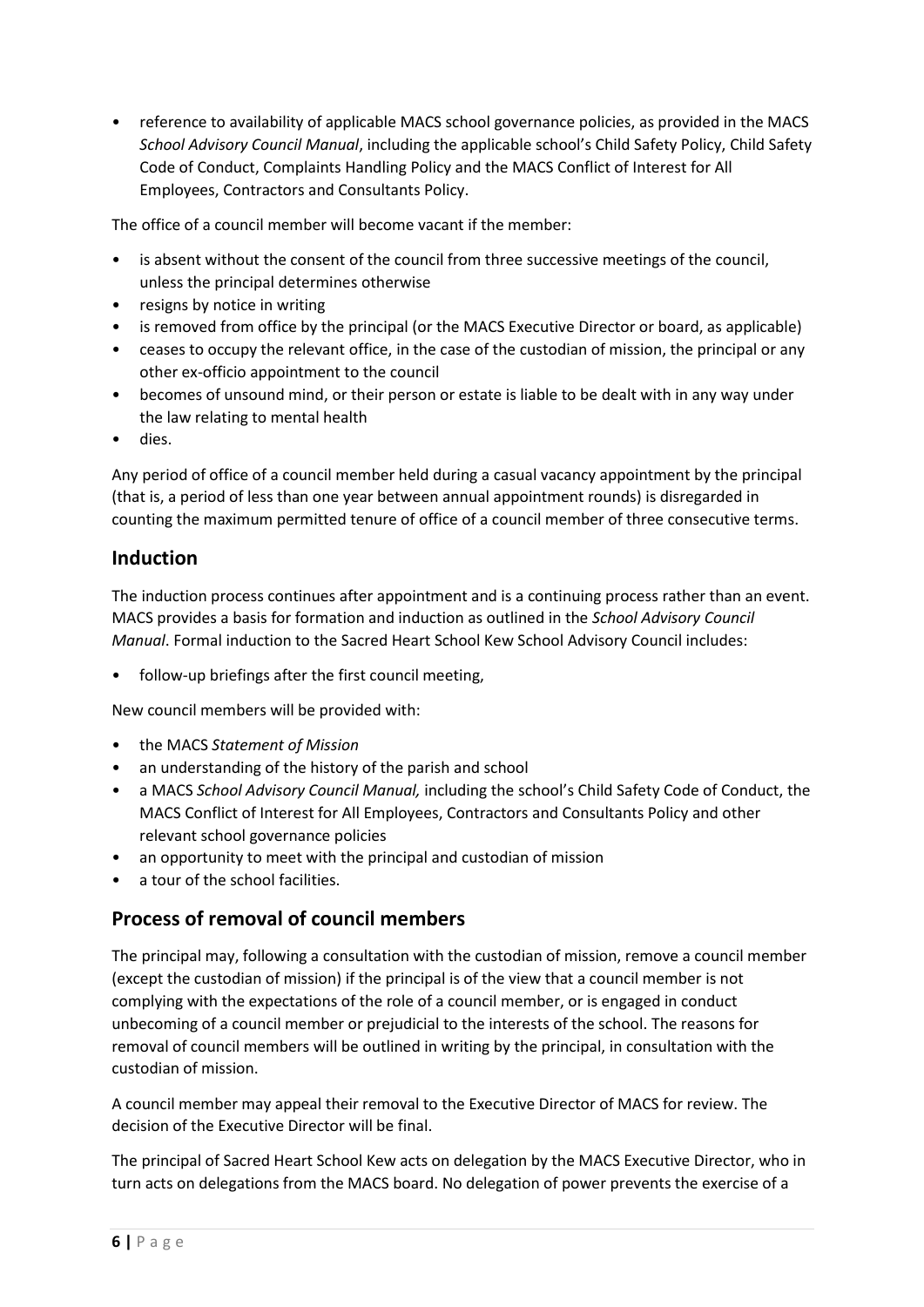• reference to availability of applicable MACS school governance policies, as provided in the MACS *School Advisory Council Manual*, including the applicable school's Child Safety Policy, Child Safety Code of Conduct, Complaints Handling Policy and the MACS Conflict of Interest for All Employees, Contractors and Consultants Policy.

The office of a council member will become vacant if the member:

- is absent without the consent of the council from three successive meetings of the council, unless the principal determines otherwise
- resigns by notice in writing
- is removed from office by the principal (or the MACS Executive Director or board, as applicable)
- ceases to occupy the relevant office, in the case of the custodian of mission, the principal or any other ex-officio appointment to the council
- becomes of unsound mind, or their person or estate is liable to be dealt with in any way under the law relating to mental health
- dies.

Any period of office of a council member held during a casual vacancy appointment by the principal (that is, a period of less than one year between annual appointment rounds) is disregarded in counting the maximum permitted tenure of office of a council member of three consecutive terms.

### <span id="page-5-0"></span>**Induction**

The induction process continues after appointment and is a continuing process rather than an event. MACS provides a basis for formation and induction as outlined in the *School Advisory Council Manual*. Formal induction to the Sacred Heart School Kew School Advisory Council includes:

follow-up briefings after the first council meeting,

New council members will be provided with:

- the MACS *Statement of Mission*
- an understanding of the history of the parish and school
- a MACS *School Advisory Council Manual,* including the school's Child Safety Code of Conduct, the MACS Conflict of Interest for All Employees, Contractors and Consultants Policy and other relevant school governance policies
- an opportunity to meet with the principal and custodian of mission
- a tour of the school facilities.

## **Process of removal of council members**

The principal may, following a consultation with the custodian of mission, remove a council member (except the custodian of mission) if the principal is of the view that a council member is not complying with the expectations of the role of a council member, or is engaged in conduct unbecoming of a council member or prejudicial to the interests of the school. The reasons for removal of council members will be outlined in writing by the principal, in consultation with the custodian of mission.

A council member may appeal their removal to the Executive Director of MACS for review. The decision of the Executive Director will be final.

The principal of Sacred Heart School Kew acts on delegation by the MACS Executive Director, who in turn acts on delegations from the MACS board. No delegation of power prevents the exercise of a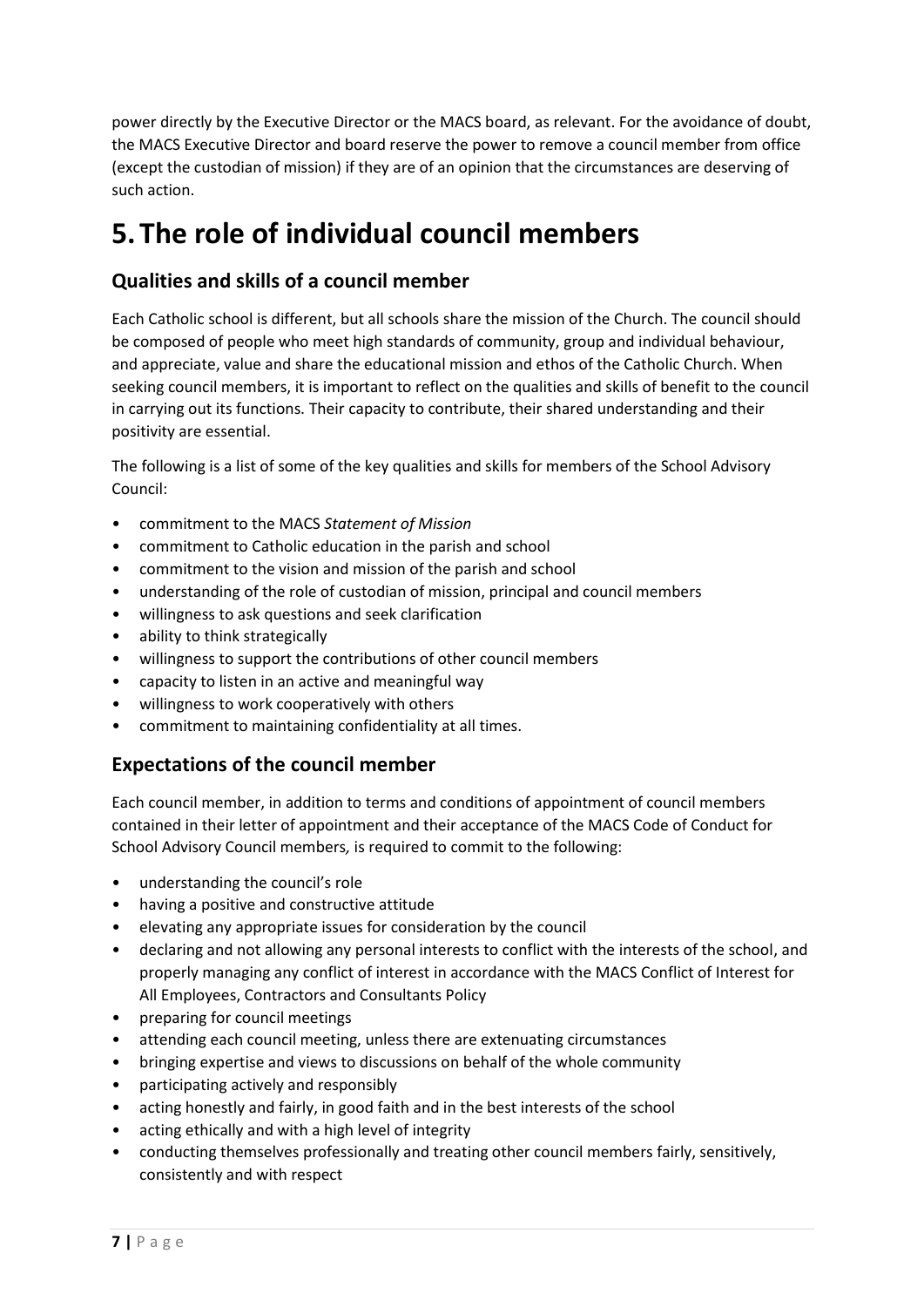power directly by the Executive Director or the MACS board, as relevant. For the avoidance of doubt, the MACS Executive Director and board reserve the power to remove a council member from office (except the custodian of mission) if they are of an opinion that the circumstances are deserving of such action.

# **5.The role of individual council members**

## **Qualities and skills of a council member**

Each Catholic school is different, but all schools share the mission of the Church. The council should be composed of people who meet high standards of community, group and individual behaviour, and appreciate, value and share the educational mission and ethos of the Catholic Church. When seeking council members, it is important to reflect on the qualities and skills of benefit to the council in carrying out its functions. Their capacity to contribute, their shared understanding and their positivity are essential.

The following is a list of some of the key qualities and skills for members of the School Advisory Council:

- commitment to the MACS *Statement of Mission*
- commitment to Catholic education in the parish and school
- commitment to the vision and mission of the parish and school
- understanding of the role of custodian of mission, principal and council members
- willingness to ask questions and seek clarification
- ability to think strategically
- willingness to support the contributions of other council members
- capacity to listen in an active and meaningful way
- willingness to work cooperatively with others
- commitment to maintaining confidentiality at all times.

### **Expectations of the council member**

Each council member, in addition to terms and conditions of appointment of council members contained in their letter of appointment and their acceptance of the MACS Code of Conduct for School Advisory Council members*,* is required to commit to the following:

- understanding the council's role
- having a positive and constructive attitude
- elevating any appropriate issues for consideration by the council
- declaring and not allowing any personal interests to conflict with the interests of the school, and properly managing any conflict of interest in accordance with the MACS Conflict of Interest for All Employees, Contractors and Consultants Policy
- preparing for council meetings
- attending each council meeting, unless there are extenuating circumstances
- bringing expertise and views to discussions on behalf of the whole community
- participating actively and responsibly
- acting honestly and fairly, in good faith and in the best interests of the school
- acting ethically and with a high level of integrity
- conducting themselves professionally and treating other council members fairly, sensitively, consistently and with respect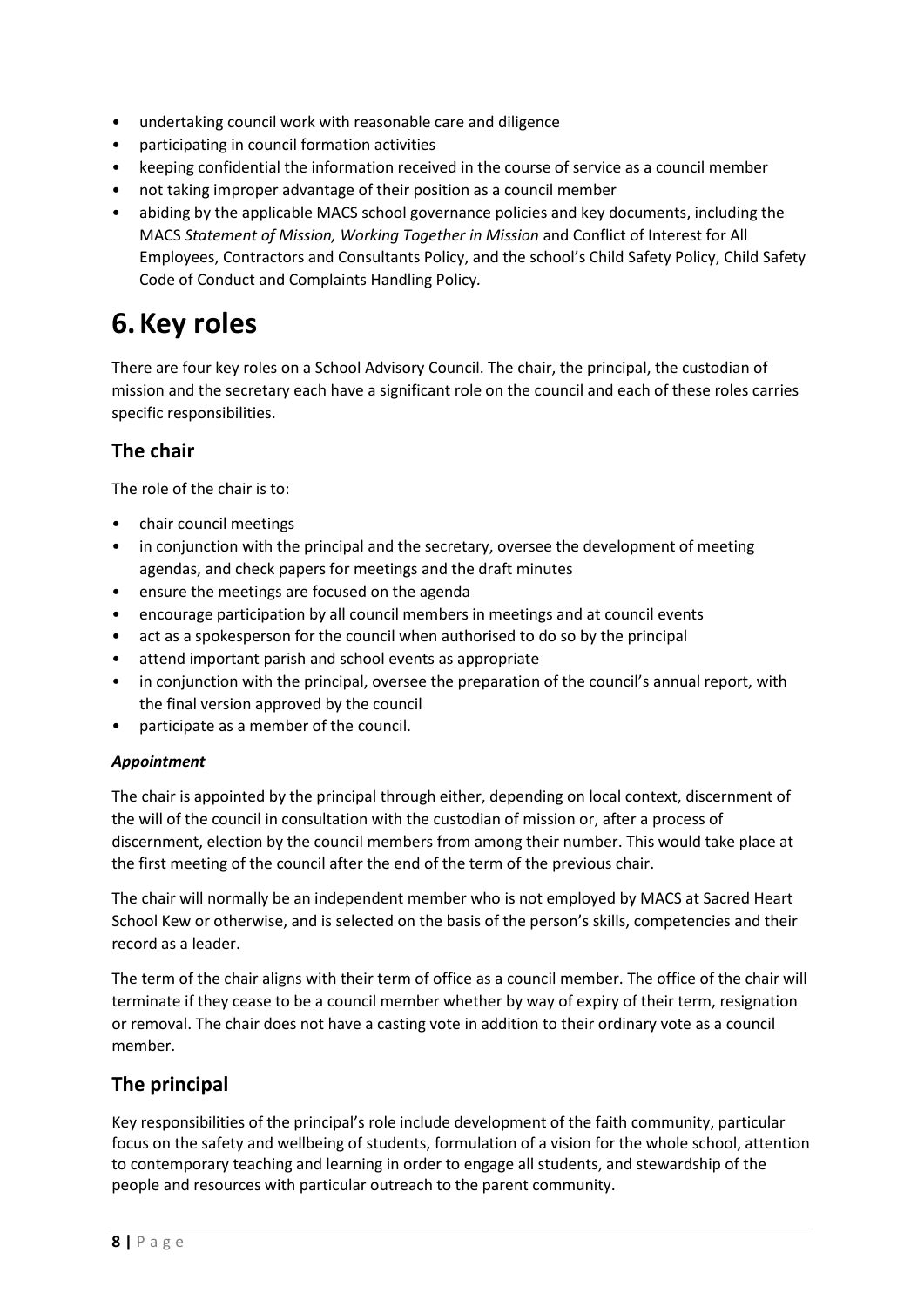- undertaking council work with reasonable care and diligence
- participating in council formation activities
- keeping confidential the information received in the course of service as a council member
- not taking improper advantage of their position as a council member
- abiding by the applicable MACS school governance policies and key documents, including the MACS *Statement of Mission, Working Together in Mission* and Conflict of Interest for All Employees, Contractors and Consultants Policy, and the school's Child Safety Policy, Child Safety Code of Conduct and Complaints Handling Policy*.*

# **6.Key roles**

There are four key roles on a School Advisory Council. The chair, the principal, the custodian of mission and the secretary each have a significant role on the council and each of these roles carries specific responsibilities.

## **The chair**

The role of the chair is to:

- chair council meetings
- in conjunction with the principal and the secretary, oversee the development of meeting agendas, and check papers for meetings and the draft minutes
- ensure the meetings are focused on the agenda
- encourage participation by all council members in meetings and at council events
- act as a spokesperson for the council when authorised to do so by the principal
- attend important parish and school events as appropriate
- in conjunction with the principal, oversee the preparation of the council's annual report, with the final version approved by the council
- participate as a member of the council.

#### *Appointment*

The chair is appointed by the principal through either, depending on local context, discernment of the will of the council in consultation with the custodian of mission or, after a process of discernment, election by the council members from among their number. This would take place at the first meeting of the council after the end of the term of the previous chair.

The chair will normally be an independent member who is not employed by MACS at Sacred Heart School Kew or otherwise, and is selected on the basis of the person's skills, competencies and their record as a leader.

The term of the chair aligns with their term of office as a council member. The office of the chair will terminate if they cease to be a council member whether by way of expiry of their term, resignation or removal. The chair does not have a casting vote in addition to their ordinary vote as a council member.

### **The principal**

Key responsibilities of the principal's role include development of the faith community, particular focus on the safety and wellbeing of students, formulation of a vision for the whole school, attention to contemporary teaching and learning in order to engage all students, and stewardship of the people and resources with particular outreach to the parent community.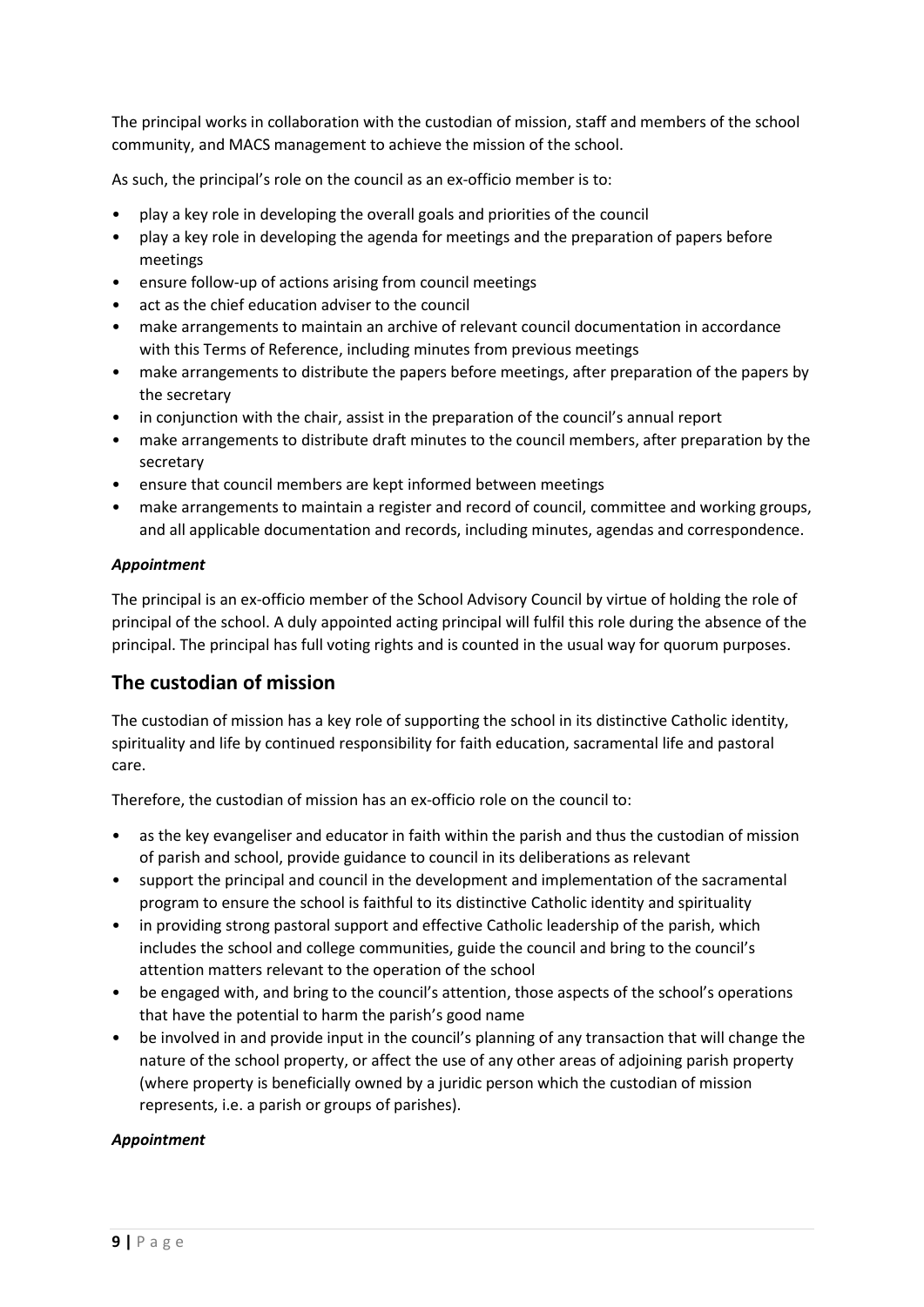The principal works in collaboration with the custodian of mission, staff and members of the school community, and MACS management to achieve the mission of the school.

As such, the principal's role on the council as an ex-officio member is to:

- play a key role in developing the overall goals and priorities of the council
- play a key role in developing the agenda for meetings and the preparation of papers before meetings
- ensure follow-up of actions arising from council meetings
- act as the chief education adviser to the council
- make arrangements to maintain an archive of relevant council documentation in accordance with this Terms of Reference, including minutes from previous meetings
- make arrangements to distribute the papers before meetings, after preparation of the papers by the secretary
- in conjunction with the chair, assist in the preparation of the council's annual report
- make arrangements to distribute draft minutes to the council members, after preparation by the secretary
- ensure that council members are kept informed between meetings
- make arrangements to maintain a register and record of council, committee and working groups, and all applicable documentation and records, including minutes, agendas and correspondence.

#### *Appointment*

The principal is an ex-officio member of the School Advisory Council by virtue of holding the role of principal of the school. A duly appointed acting principal will fulfil this role during the absence of the principal. The principal has full voting rights and is counted in the usual way for quorum purposes.

### **The custodian of mission**

The custodian of mission has a key role of supporting the school in its distinctive Catholic identity, spirituality and life by continued responsibility for faith education, sacramental life and pastoral care.

Therefore, the custodian of mission has an ex-officio role on the council to:

- as the key evangeliser and educator in faith within the parish and thus the custodian of mission of parish and school, provide guidance to council in its deliberations as relevant
- support the principal and council in the development and implementation of the sacramental program to ensure the school is faithful to its distinctive Catholic identity and spirituality
- in providing strong pastoral support and effective Catholic leadership of the parish, which includes the school and college communities, guide the council and bring to the council's attention matters relevant to the operation of the school
- be engaged with, and bring to the council's attention, those aspects of the school's operations that have the potential to harm the parish's good name
- be involved in and provide input in the council's planning of any transaction that will change the nature of the school property, or affect the use of any other areas of adjoining parish property (where property is beneficially owned by a juridic person which the custodian of mission represents, i.e. a parish or groups of parishes).

#### *Appointment*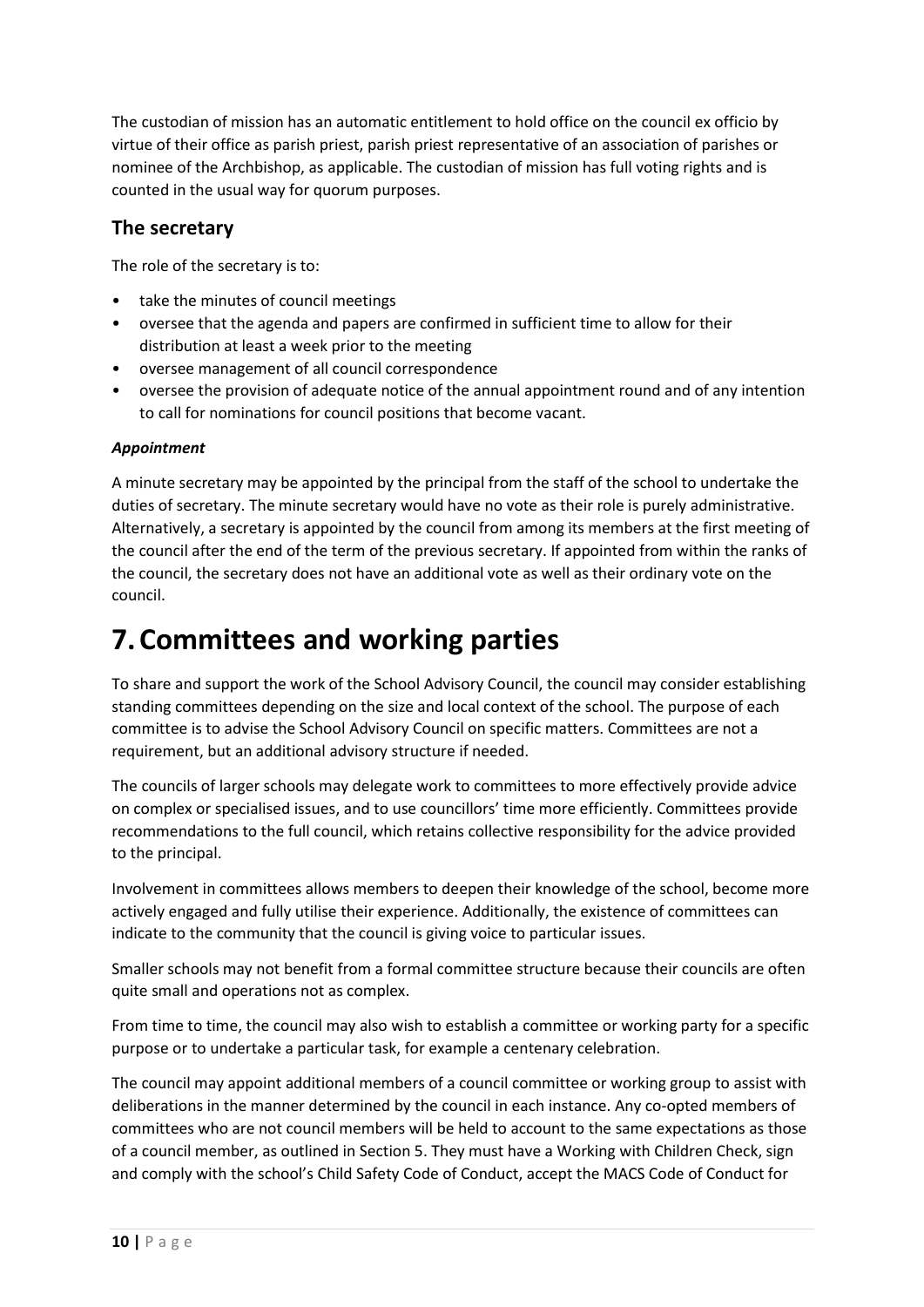The custodian of mission has an automatic entitlement to hold office on the council ex officio by virtue of their office as parish priest, parish priest representative of an association of parishes or nominee of the Archbishop, as applicable. The custodian of mission has full voting rights and is counted in the usual way for quorum purposes.

### **The secretary**

The role of the secretary is to:

- take the minutes of council meetings
- oversee that the agenda and papers are confirmed in sufficient time to allow for their distribution at least a week prior to the meeting
- oversee management of all council correspondence
- oversee the provision of adequate notice of the annual appointment round and of any intention to call for nominations for council positions that become vacant.

#### *Appointment*

A minute secretary may be appointed by the principal from the staff of the school to undertake the duties of secretary. The minute secretary would have no vote as their role is purely administrative. Alternatively, a secretary is appointed by the council from among its members at the first meeting of the council after the end of the term of the previous secretary. If appointed from within the ranks of the council, the secretary does not have an additional vote as well as their ordinary vote on the council.

# **7.Committees and working parties**

To share and support the work of the School Advisory Council, the council may consider establishing standing committees depending on the size and local context of the school. The purpose of each committee is to advise the School Advisory Council on specific matters. Committees are not a requirement, but an additional advisory structure if needed.

The councils of larger schools may delegate work to committees to more effectively provide advice on complex or specialised issues, and to use councillors' time more efficiently. Committees provide recommendations to the full council, which retains collective responsibility for the advice provided to the principal.

Involvement in committees allows members to deepen their knowledge of the school, become more actively engaged and fully utilise their experience. Additionally, the existence of committees can indicate to the community that the council is giving voice to particular issues.

Smaller schools may not benefit from a formal committee structure because their councils are often quite small and operations not as complex.

From time to time, the council may also wish to establish a committee or working party for a specific purpose or to undertake a particular task, for example a centenary celebration.

The council may appoint additional members of a council committee or working group to assist with deliberations in the manner determined by the council in each instance. Any co-opted members of committees who are not council members will be held to account to the same expectations as those of a council member, as outlined in Section 5. They must have a Working with Children Check, sign and comply with the school's Child Safety Code of Conduct, accept the MACS Code of Conduct for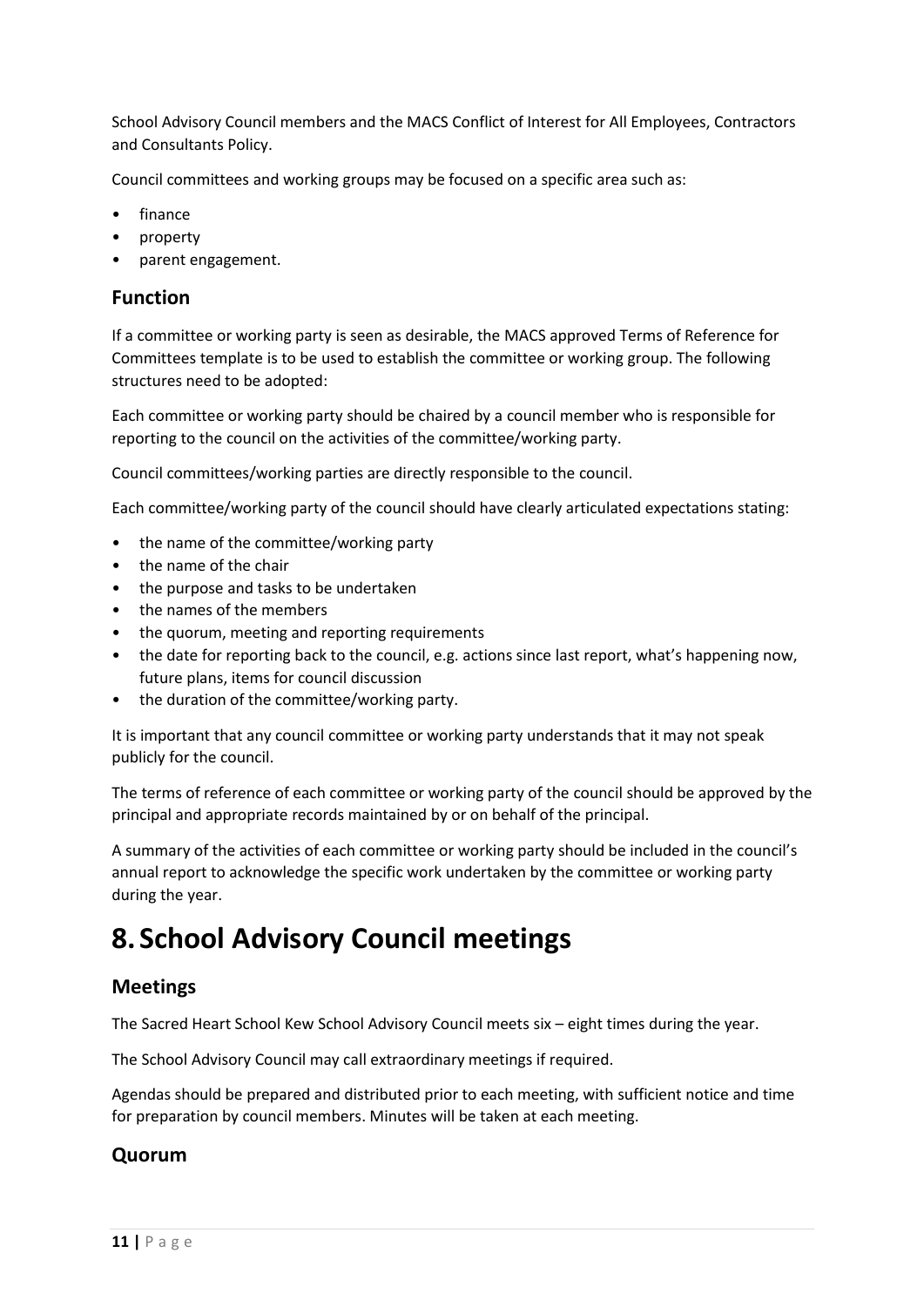School Advisory Council members and the MACS Conflict of Interest for All Employees, Contractors and Consultants Policy.

Council committees and working groups may be focused on a specific area such as:

- finance
- property
- parent engagement.

### **Function**

If a committee or working party is seen as desirable, the MACS approved Terms of Reference for Committees template is to be used to establish the committee or working group. The following structures need to be adopted:

Each committee or working party should be chaired by a council member who is responsible for reporting to the council on the activities of the committee/working party.

Council committees/working parties are directly responsible to the council.

Each committee/working party of the council should have clearly articulated expectations stating:

- the name of the committee/working party
- the name of the chair
- the purpose and tasks to be undertaken
- the names of the members
- the quorum, meeting and reporting requirements
- the date for reporting back to the council, e.g. actions since last report, what's happening now, future plans, items for council discussion
- the duration of the committee/working party.

It is important that any council committee or working party understands that it may not speak publicly for the council.

The terms of reference of each committee or working party of the council should be approved by the principal and appropriate records maintained by or on behalf of the principal.

A summary of the activities of each committee or working party should be included in the council's annual report to acknowledge the specific work undertaken by the committee or working party during the year.

# **8. School Advisory Council meetings**

### **Meetings**

The Sacred Heart School Kew School Advisory Council meets six – eight times during the year.

The School Advisory Council may call extraordinary meetings if required.

Agendas should be prepared and distributed prior to each meeting, with sufficient notice and time for preparation by council members. Minutes will be taken at each meeting.

### **Quorum**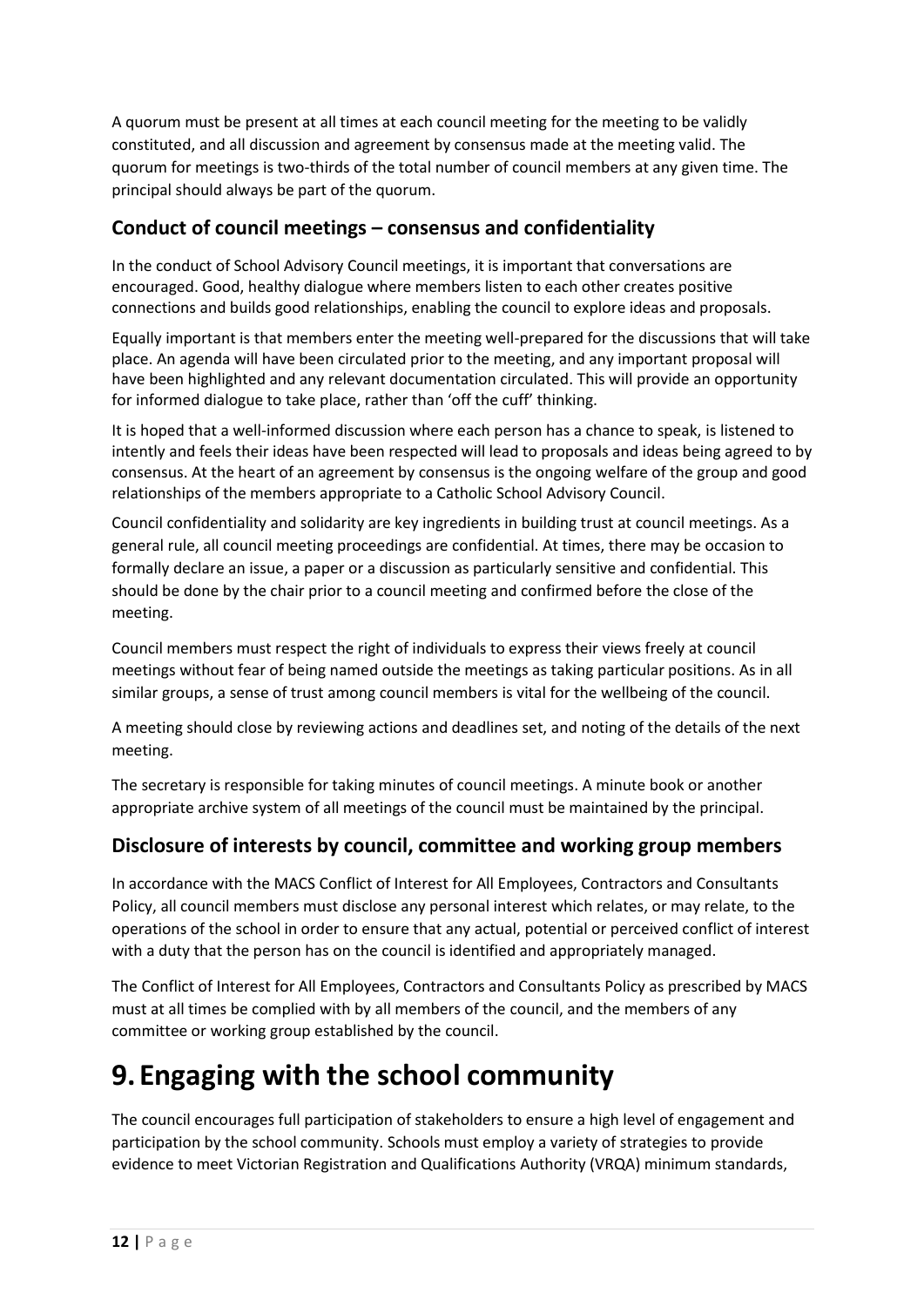A quorum must be present at all times at each council meeting for the meeting to be validly constituted, and all discussion and agreement by consensus made at the meeting valid. The quorum for meetings is two-thirds of the total number of council members at any given time. The principal should always be part of the quorum.

## **Conduct of council meetings – consensus and confidentiality**

In the conduct of School Advisory Council meetings, it is important that conversations are encouraged. Good, healthy dialogue where members listen to each other creates positive connections and builds good relationships, enabling the council to explore ideas and proposals.

Equally important is that members enter the meeting well-prepared for the discussions that will take place. An agenda will have been circulated prior to the meeting, and any important proposal will have been highlighted and any relevant documentation circulated. This will provide an opportunity for informed dialogue to take place, rather than 'off the cuff' thinking.

It is hoped that a well-informed discussion where each person has a chance to speak, is listened to intently and feels their ideas have been respected will lead to proposals and ideas being agreed to by consensus. At the heart of an agreement by consensus is the ongoing welfare of the group and good relationships of the members appropriate to a Catholic School Advisory Council.

Council confidentiality and solidarity are key ingredients in building trust at council meetings. As a general rule, all council meeting proceedings are confidential. At times, there may be occasion to formally declare an issue, a paper or a discussion as particularly sensitive and confidential. This should be done by the chair prior to a council meeting and confirmed before the close of the meeting.

Council members must respect the right of individuals to express their views freely at council meetings without fear of being named outside the meetings as taking particular positions. As in all similar groups, a sense of trust among council members is vital for the wellbeing of the council.

A meeting should close by reviewing actions and deadlines set, and noting of the details of the next meeting.

The secretary is responsible for taking minutes of council meetings. A minute book or another appropriate archive system of all meetings of the council must be maintained by the principal.

## **Disclosure of interests by council, committee and working group members**

In accordance with the MACS Conflict of Interest for All Employees, Contractors and Consultants Policy, all council members must disclose any personal interest which relates, or may relate, to the operations of the school in order to ensure that any actual, potential or perceived conflict of interest with a duty that the person has on the council is identified and appropriately managed.

The Conflict of Interest for All Employees, Contractors and Consultants Policy as prescribed by MACS must at all times be complied with by all members of the council, and the members of any committee or working group established by the council.

# **9. Engaging with the school community**

The council encourages full participation of stakeholders to ensure a high level of engagement and participation by the school community. Schools must employ a variety of strategies to provide evidence to meet Victorian Registration and Qualifications Authority (VRQA) minimum standards,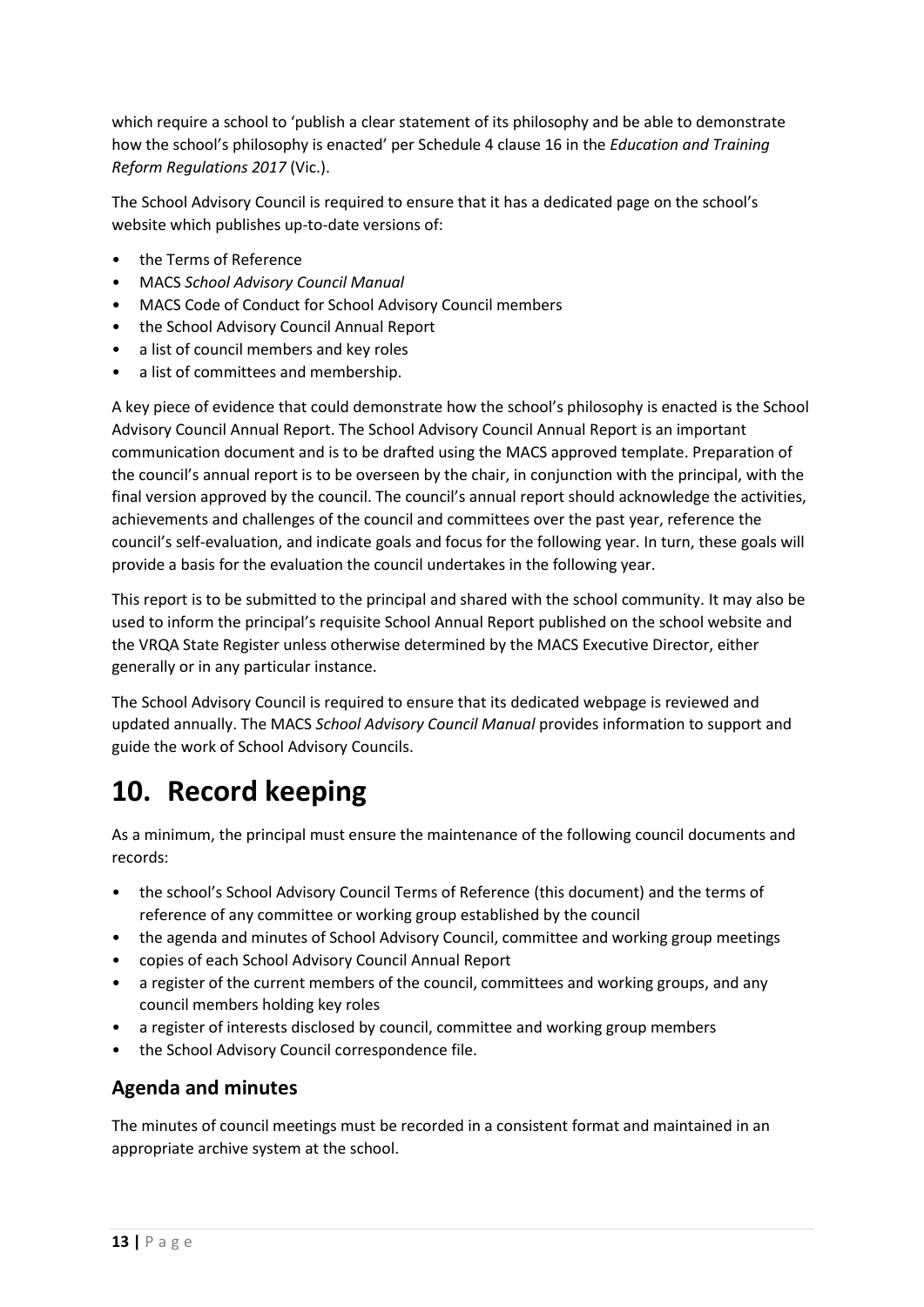which require a school to 'publish a clear statement of its philosophy and be able to demonstrate how the school's philosophy is enacted' per Schedule 4 clause 16 in the *Education and Training Reform Regulations 2017* (Vic.).

The School Advisory Council is required to ensure that it has a dedicated page on the school's website which publishes up-to-date versions of:

- the Terms of Reference
- MACS *School Advisory Council Manual*
- MACS Code of Conduct for School Advisory Council members
- the School Advisory Council Annual Report
- a list of council members and key roles
- a list of committees and membership.

A key piece of evidence that could demonstrate how the school's philosophy is enacted is the School Advisory Council Annual Report. The School Advisory Council Annual Report is an important communication document and is to be drafted using the MACS approved template. Preparation of the council's annual report is to be overseen by the chair, in conjunction with the principal, with the final version approved by the council. The council's annual report should acknowledge the activities, achievements and challenges of the council and committees over the past year, reference the council's self-evaluation, and indicate goals and focus for the following year. In turn, these goals will provide a basis for the evaluation the council undertakes in the following year.

This report is to be submitted to the principal and shared with the school community. It may also be used to inform the principal's requisite School Annual Report published on the school website and the VRQA State Register unless otherwise determined by the MACS Executive Director, either generally or in any particular instance.

The School Advisory Council is required to ensure that its dedicated webpage is reviewed and updated annually. The MACS *School Advisory Council Manual* provides information to support and guide the work of School Advisory Councils.

# **10. Record keeping**

As a minimum, the principal must ensure the maintenance of the following council documents and records:

- the school's School Advisory Council Terms of Reference (this document) and the terms of reference of any committee or working group established by the council
- the agenda and minutes of School Advisory Council, committee and working group meetings
- copies of each School Advisory Council Annual Report
- a register of the current members of the council, committees and working groups, and any council members holding key roles
- a register of interests disclosed by council, committee and working group members
- the School Advisory Council correspondence file.

### **Agenda and minutes**

The minutes of council meetings must be recorded in a consistent format and maintained in an appropriate archive system at the school.